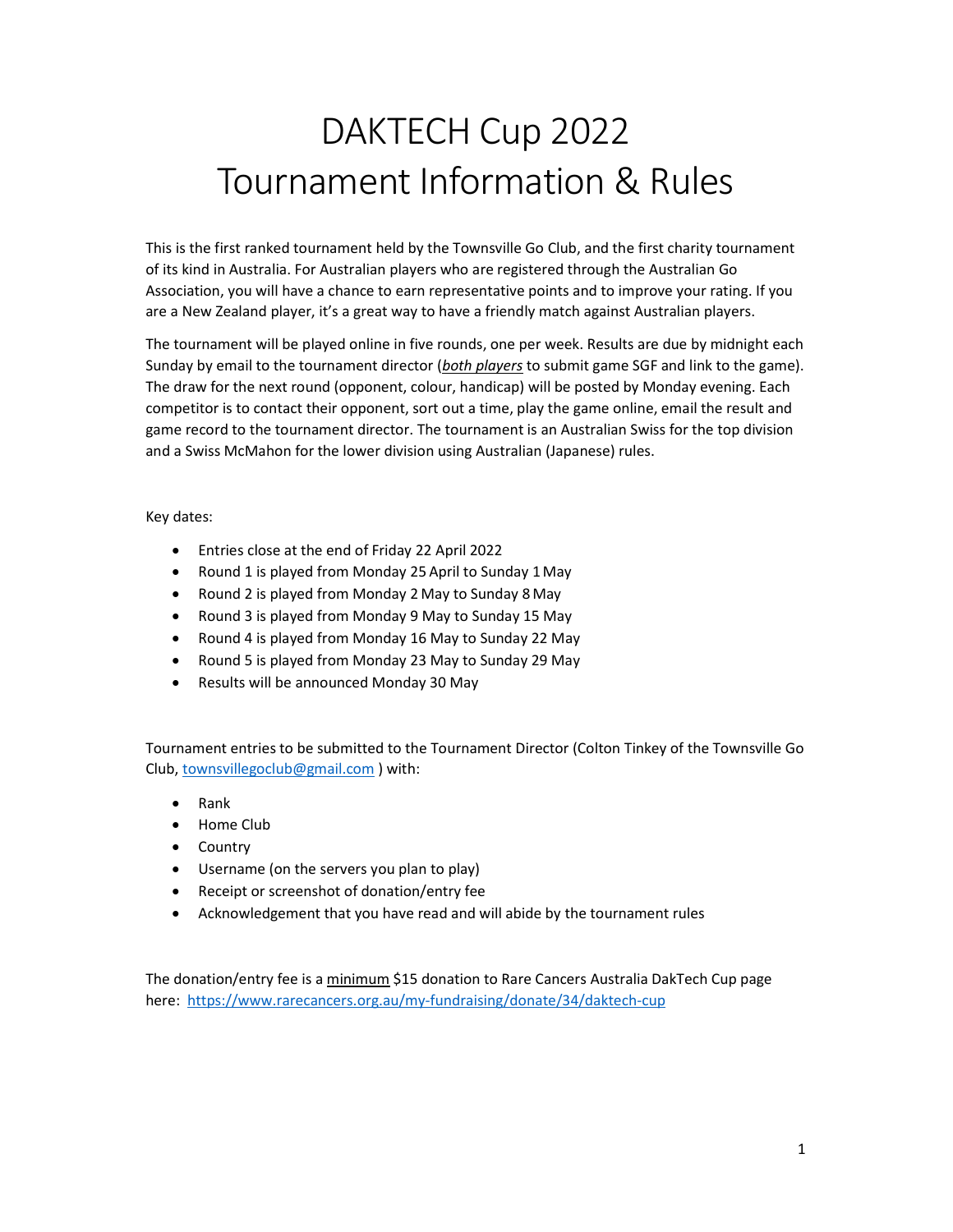# DAKTECH Cup 2022 Tournament Information & Rules

This is the first ranked tournament held by the Townsville Go Club, and the first charity tournament of its kind in Australia. For Australian players who are registered through the Australian Go Association, you will have a chance to earn representative points and to improve your rating. If you are a New Zealand player, it's a great way to have a friendly match against Australian players.

The tournament will be played online in five rounds, one per week. Results are due by midnight each Sunday by email to the tournament director (both players to submit game SGF and link to the game). The draw for the next round (opponent, colour, handicap) will be posted by Monday evening. Each competitor is to contact their opponent, sort out a time, play the game online, email the result and game record to the tournament director. The tournament is an Australian Swiss for the top division and a Swiss McMahon for the lower division using Australian (Japanese) rules.

Key dates:

- Entries close at the end of Friday 22 April 2022
- Round 1 is played from Monday 25 April to Sunday 1May
- Round 2 is played from Monday 2 May to Sunday 8 May
- Round 3 is played from Monday 9 May to Sunday 15 May
- Round 4 is played from Monday 16 May to Sunday 22 May
- Round 5 is played from Monday 23 May to Sunday 29 May
- Results will be announced Monday 30 May

Tournament entries to be submitted to the Tournament Director (Colton Tinkey of the Townsville Go Club, townsvillegoclub@gmail.com ) with:

- Rank
- Home Club
- Country
- Username (on the servers you plan to play)
- Receipt or screenshot of donation/entry fee
- Acknowledgement that you have read and will abide by the tournament rules

The donation/entry fee is a minimum \$15 donation to Rare Cancers Australia DakTech Cup page here: https://www.rarecancers.org.au/my-fundraising/donate/34/daktech-cup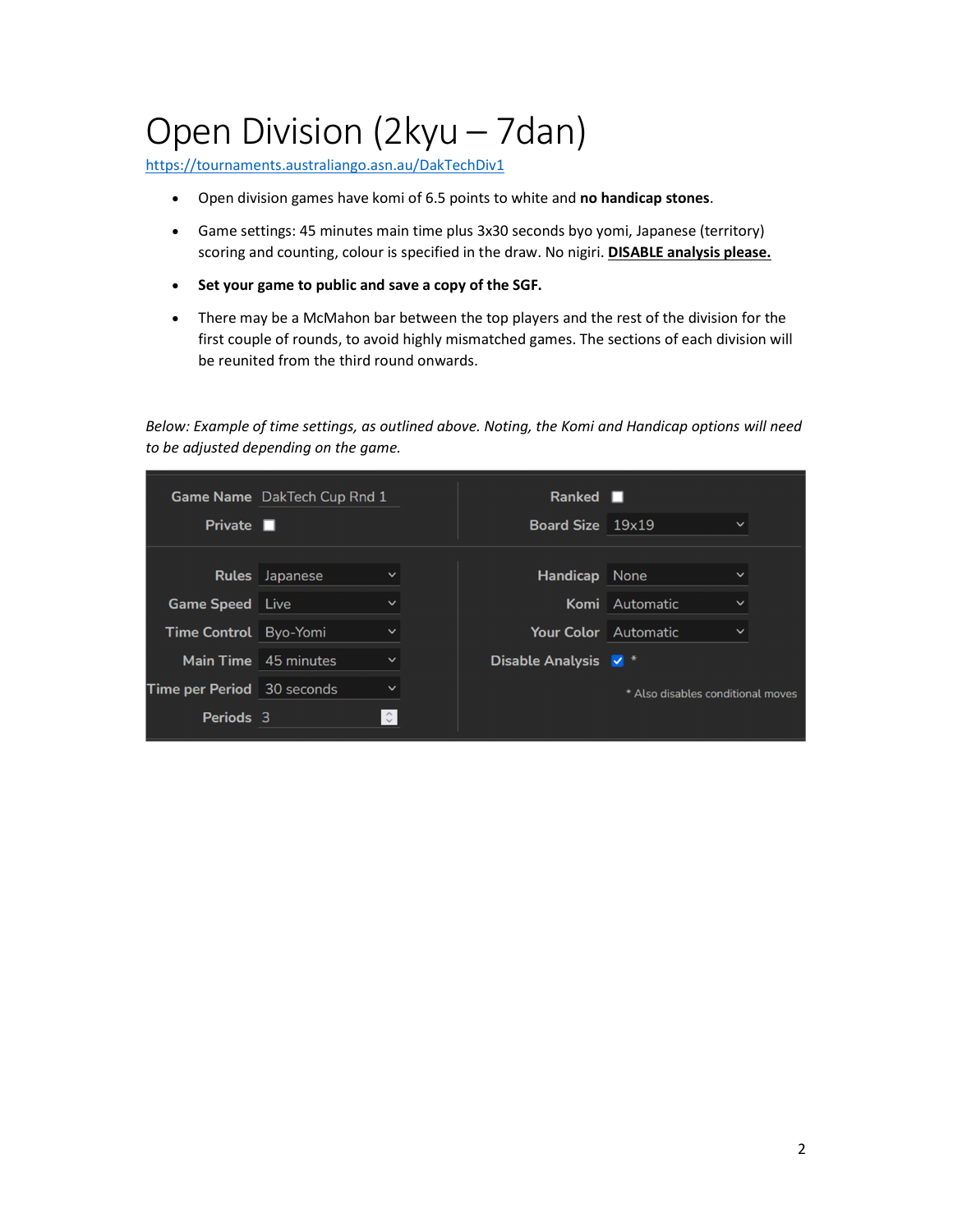# Open Division (2kyu – 7dan)

https://tournaments.australiango.asn.au/DakTechDiv1

- Open division games have komi of 6.5 points to white and no handicap stones.
- Game settings: 45 minutes main time plus 3x30 seconds byo yomi, Japanese (territory) scoring and counting, colour is specified in the draw. No nigiri. **DISABLE analysis please.**
- Set your game to public and save a copy of the SGF.
- There may be a McMahon bar between the top players and the rest of the division for the first couple of rounds, to avoid highly mismatched games. The sections of each division will be reunited from the third round onwards.

Below: Example of time settings, as outlined above. Noting, the Komi and Handicap options will need to be adjusted depending on the game.

|                                   | Game Name DakTech Cup Rnd 1          |  | Ranked <b>II</b>                |                                   |              |
|-----------------------------------|--------------------------------------|--|---------------------------------|-----------------------------------|--------------|
| Private $\blacksquare$            |                                      |  | Board Size 19x19                |                                   | $\check{ }$  |
|                                   |                                      |  |                                 |                                   |              |
|                                   | <b>Rules</b> Japanese<br>$\check{ }$ |  | <b>Handicap</b> None            |                                   | $\check{ }$  |
| <b>Game Speed</b> Live            | ◡                                    |  |                                 | Komi Automatic                    | $\check{ }$  |
| Time Control Byo-Yomi             | $\check{ }$                          |  | <b>Your Color</b> Automatic     |                                   | $\checkmark$ |
|                                   | Main Time 45 minutes<br>$\checkmark$ |  | Disable Analysis V <sup>*</sup> |                                   |              |
| <b>Time per Period</b> 30 seconds | $\check{ }$                          |  |                                 | * Also disables conditional moves |              |
| Periods 3                         | $\hat{\phantom{a}}$                  |  |                                 |                                   |              |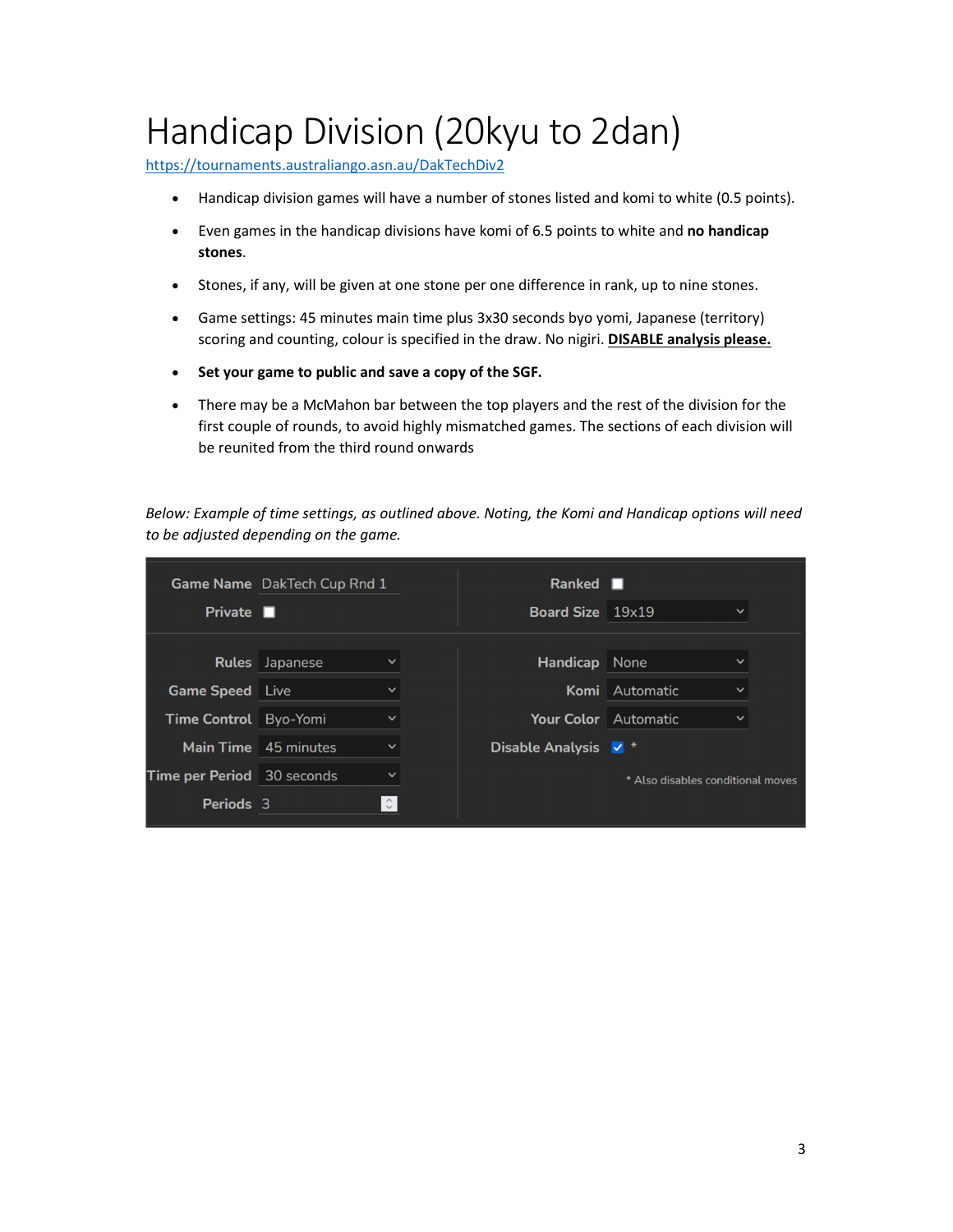# Handicap Division (20kyu to 2dan)

https://tournaments.australiango.asn.au/DakTechDiv2

- Handicap division games will have a number of stones listed and komi to white (0.5 points).
- Even games in the handicap divisions have komi of 6.5 points to white and no handicap stones.
- Stones, if any, will be given at one stone per one difference in rank, up to nine stones.
- Game settings: 45 minutes main time plus 3x30 seconds byo yomi, Japanese (territory) scoring and counting, colour is specified in the draw. No nigiri. DISABLE analysis please.
- Set your game to public and save a copy of the SGF.
- There may be a McMahon bar between the top players and the rest of the division for the first couple of rounds, to avoid highly mismatched games. The sections of each division will be reunited from the third round onwards

Below: Example of time settings, as outlined above. Noting, the Komi and Handicap options will need to be adjusted depending on the game.

| Private $\blacksquare$            | <b>Game Name</b> DakTech Cup Rnd 1    | Ranked <b>I</b><br>Board Size 19x19 |                                   | $\checkmark$ |
|-----------------------------------|---------------------------------------|-------------------------------------|-----------------------------------|--------------|
|                                   |                                       |                                     |                                   |              |
|                                   | <b>Rules</b> Japanese<br>$\checkmark$ | <b>Handicap</b> None                |                                   | $\checkmark$ |
| <b>Game Speed</b> Live            | $\checkmark$                          |                                     | Komi Automatic                    | $\checkmark$ |
| <b>Time Control</b> Byo-Yomi      | $\checkmark$                          | Your Color Automatic                |                                   | $\checkmark$ |
|                                   | Main Time 45 minutes<br>$\check{~}$   | Disable Analysis $\sqrt{*}$         |                                   |              |
| <b>Time per Period</b> 30 seconds | $\check{ }$                           |                                     | * Also disables conditional moves |              |
| Periods 3                         | $\hat{\mathcal{C}}$                   |                                     |                                   |              |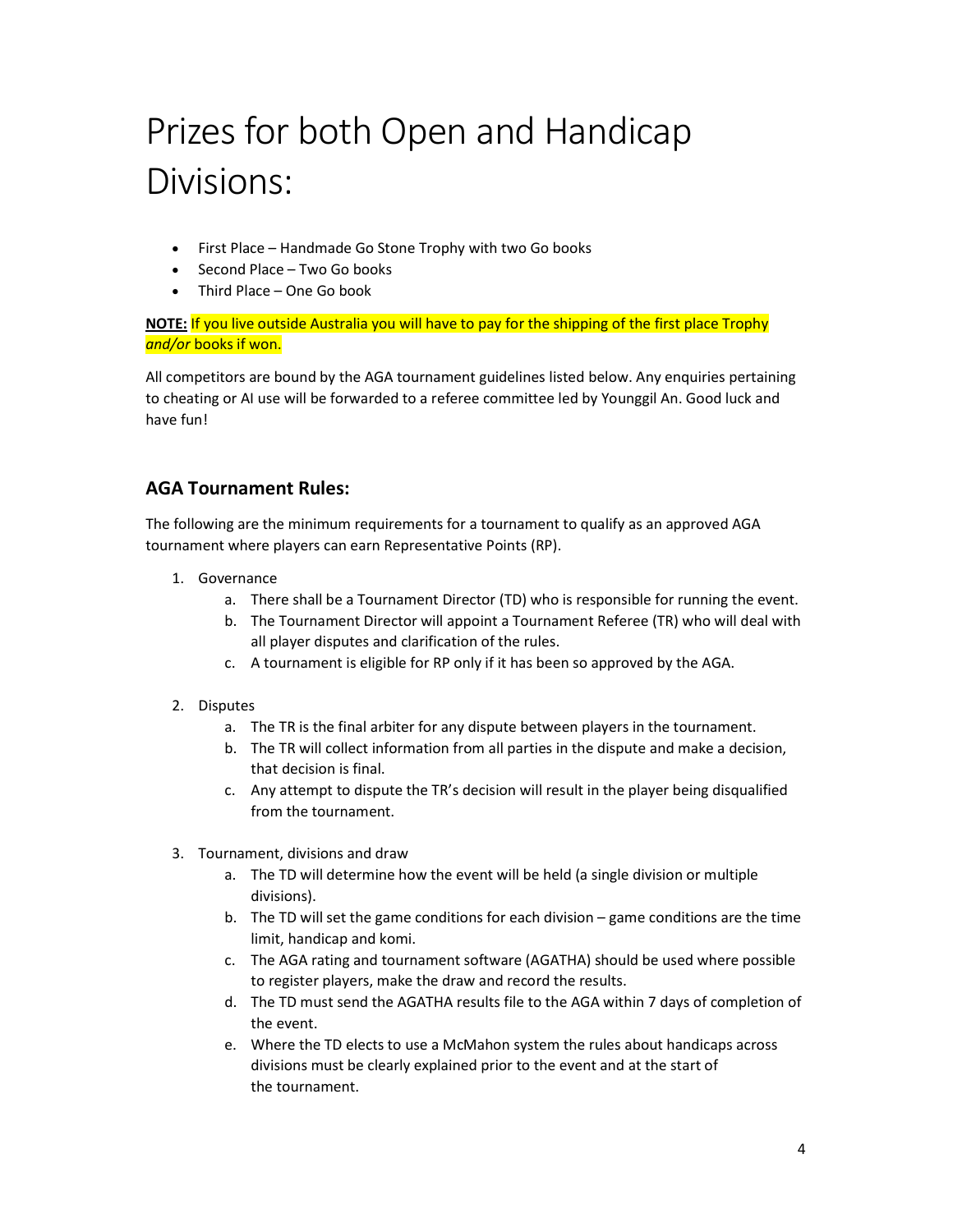# Prizes for both Open and Handicap Divisions:

- First Place Handmade Go Stone Trophy with two Go books
- Second Place Two Go books
- Third Place One Go book

NOTE: If you live outside Australia you will have to pay for the shipping of the first place Trophy and/or books if won.

All competitors are bound by the AGA tournament guidelines listed below. Any enquiries pertaining to cheating or AI use will be forwarded to a referee committee led by Younggil An. Good luck and have fun!

#### AGA Tournament Rules:

The following are the minimum requirements for a tournament to qualify as an approved AGA tournament where players can earn Representative Points (RP).

- 1. Governance
	- a. There shall be a Tournament Director (TD) who is responsible for running the event.
	- b. The Tournament Director will appoint a Tournament Referee (TR) who will deal with all player disputes and clarification of the rules.
	- c. A tournament is eligible for RP only if it has been so approved by the AGA.
- 2. Disputes
	- a. The TR is the final arbiter for any dispute between players in the tournament.
	- b. The TR will collect information from all parties in the dispute and make a decision, that decision is final.
	- c. Any attempt to dispute the TR's decision will result in the player being disqualified from the tournament.
- 3. Tournament, divisions and draw
	- a. The TD will determine how the event will be held (a single division or multiple divisions).
	- b. The TD will set the game conditions for each division game conditions are the time limit, handicap and komi.
	- c. The AGA rating and tournament software (AGATHA) should be used where possible to register players, make the draw and record the results.
	- d. The TD must send the AGATHA results file to the AGA within 7 days of completion of the event.
	- e. Where the TD elects to use a McMahon system the rules about handicaps across divisions must be clearly explained prior to the event and at the start of the tournament.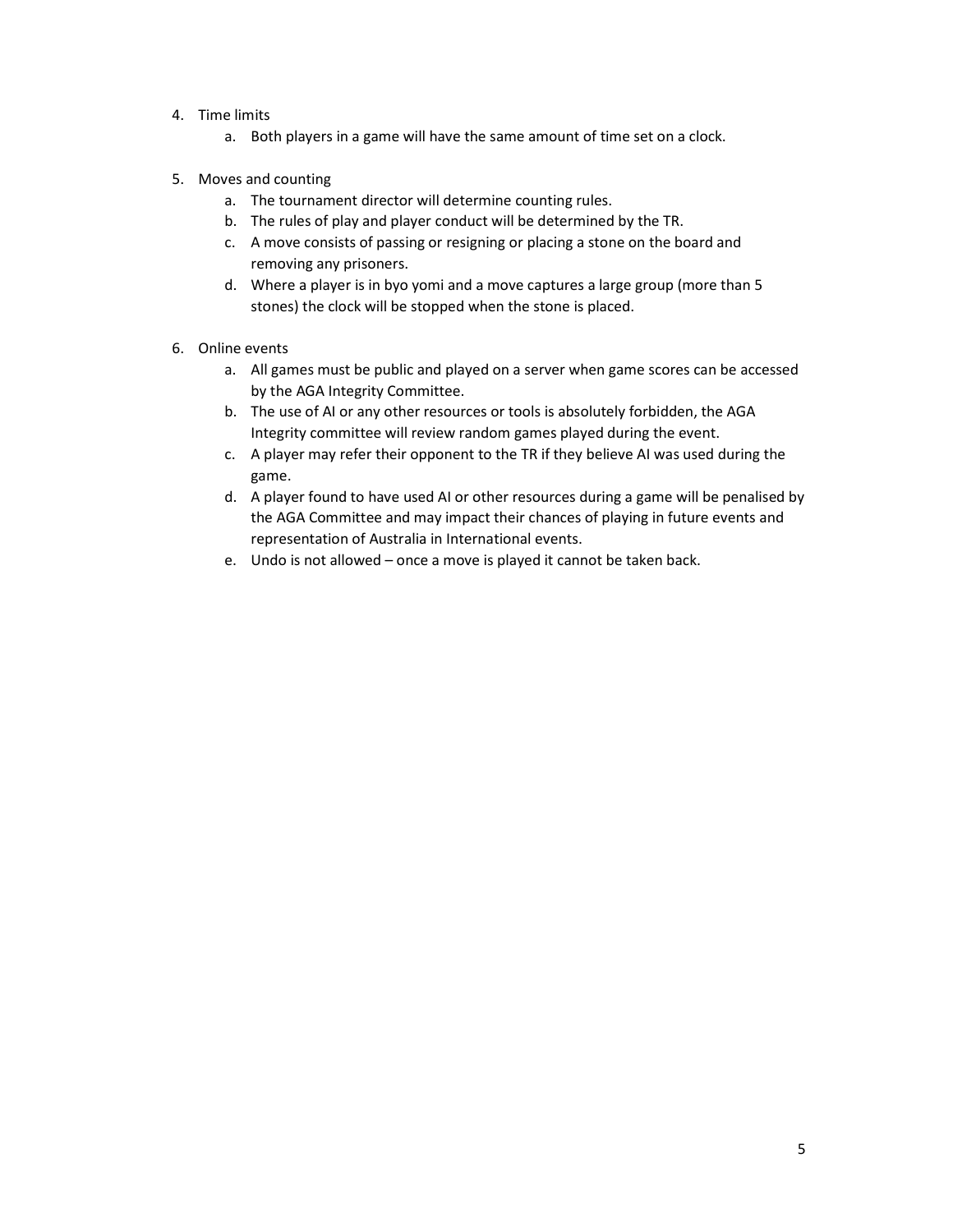#### 4. Time limits

- a. Both players in a game will have the same amount of time set on a clock.
- 5. Moves and counting
	- a. The tournament director will determine counting rules.
	- b. The rules of play and player conduct will be determined by the TR.
	- c. A move consists of passing or resigning or placing a stone on the board and removing any prisoners.
	- d. Where a player is in byo yomi and a move captures a large group (more than 5 stones) the clock will be stopped when the stone is placed.
- 6. Online events
	- a. All games must be public and played on a server when game scores can be accessed by the AGA Integrity Committee.
	- b. The use of AI or any other resources or tools is absolutely forbidden, the AGA Integrity committee will review random games played during the event.
	- c. A player may refer their opponent to the TR if they believe AI was used during the game.
	- d. A player found to have used AI or other resources during a game will be penalised by the AGA Committee and may impact their chances of playing in future events and representation of Australia in International events.
	- e. Undo is not allowed once a move is played it cannot be taken back.